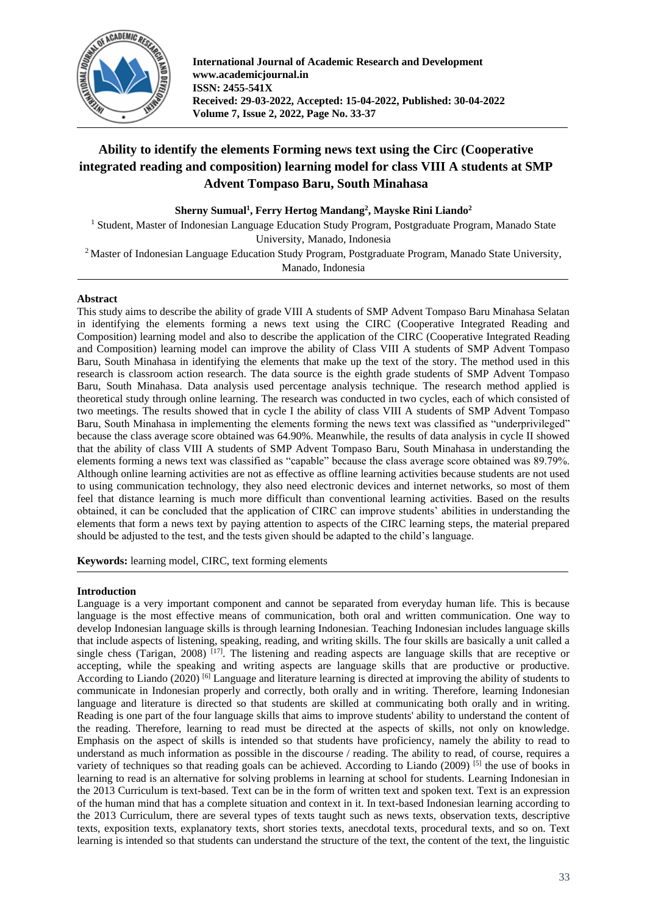

**International Journal of Academic Research and Development www.academicjournal.in ISSN: 2455-541X Received: 29-03-2022, Accepted: 15-04-2022, Published: 30-04-2022 Volume 7, Issue 2, 2022, Page No. 33-37**

# **Ability to identify the elements Forming news text using the Circ (Cooperative integrated reading and composition) learning model for class VIII A students at SMP Advent Tompaso Baru, South Minahasa**

**Sherny Sumual<sup>1</sup> , Ferry Hertog Mandang<sup>2</sup> , Mayske Rini Liando<sup>2</sup>**

<sup>1</sup> Student, Master of Indonesian Language Education Study Program, Postgraduate Program, Manado State University, Manado, Indonesia

<sup>2</sup> Master of Indonesian Language Education Study Program, Postgraduate Program, Manado State University,

Manado, Indonesia

# **Abstract**

This study aims to describe the ability of grade VIII A students of SMP Advent Tompaso Baru Minahasa Selatan in identifying the elements forming a news text using the CIRC (Cooperative Integrated Reading and Composition) learning model and also to describe the application of the CIRC (Cooperative Integrated Reading and Composition) learning model can improve the ability of Class VIII A students of SMP Advent Tompaso Baru, South Minahasa in identifying the elements that make up the text of the story. The method used in this research is classroom action research. The data source is the eighth grade students of SMP Advent Tompaso Baru, South Minahasa. Data analysis used percentage analysis technique. The research method applied is theoretical study through online learning. The research was conducted in two cycles, each of which consisted of two meetings. The results showed that in cycle I the ability of class VIII A students of SMP Advent Tompaso Baru, South Minahasa in implementing the elements forming the news text was classified as "underprivileged" because the class average score obtained was 64.90%. Meanwhile, the results of data analysis in cycle II showed that the ability of class VIII A students of SMP Advent Tompaso Baru, South Minahasa in understanding the elements forming a news text was classified as "capable" because the class average score obtained was 89.79%. Although online learning activities are not as effective as offline learning activities because students are not used to using communication technology, they also need electronic devices and internet networks, so most of them feel that distance learning is much more difficult than conventional learning activities. Based on the results obtained, it can be concluded that the application of CIRC can improve students' abilities in understanding the elements that form a news text by paying attention to aspects of the CIRC learning steps, the material prepared should be adjusted to the test, and the tests given should be adapted to the child's language.

**Keywords:** learning model, CIRC, text forming elements

# **Introduction**

Language is a very important component and cannot be separated from everyday human life. This is because language is the most effective means of communication, both oral and written communication. One way to develop Indonesian language skills is through learning Indonesian. Teaching Indonesian includes language skills that include aspects of listening, speaking, reading, and writing skills. The four skills are basically a unit called a single chess (Tarigan, 2008)  $^{[17]}$ . The listening and reading aspects are language skills that are receptive or accepting, while the speaking and writing aspects are language skills that are productive or productive. According to Liando (2020) <sup>[6]</sup> Language and literature learning is directed at improving the ability of students to communicate in Indonesian properly and correctly, both orally and in writing. Therefore, learning Indonesian language and literature is directed so that students are skilled at communicating both orally and in writing. Reading is one part of the four language skills that aims to improve students' ability to understand the content of the reading. Therefore, learning to read must be directed at the aspects of skills, not only on knowledge. Emphasis on the aspect of skills is intended so that students have proficiency, namely the ability to read to understand as much information as possible in the discourse / reading. The ability to read, of course, requires a variety of techniques so that reading goals can be achieved. According to Liando (2009) [5] the use of books in learning to read is an alternative for solving problems in learning at school for students. Learning Indonesian in the 2013 Curriculum is text-based. Text can be in the form of written text and spoken text. Text is an expression of the human mind that has a complete situation and context in it. In text-based Indonesian learning according to the 2013 Curriculum, there are several types of texts taught such as news texts, observation texts, descriptive texts, exposition texts, explanatory texts, short stories texts, anecdotal texts, procedural texts, and so on. Text learning is intended so that students can understand the structure of the text, the content of the text, the linguistic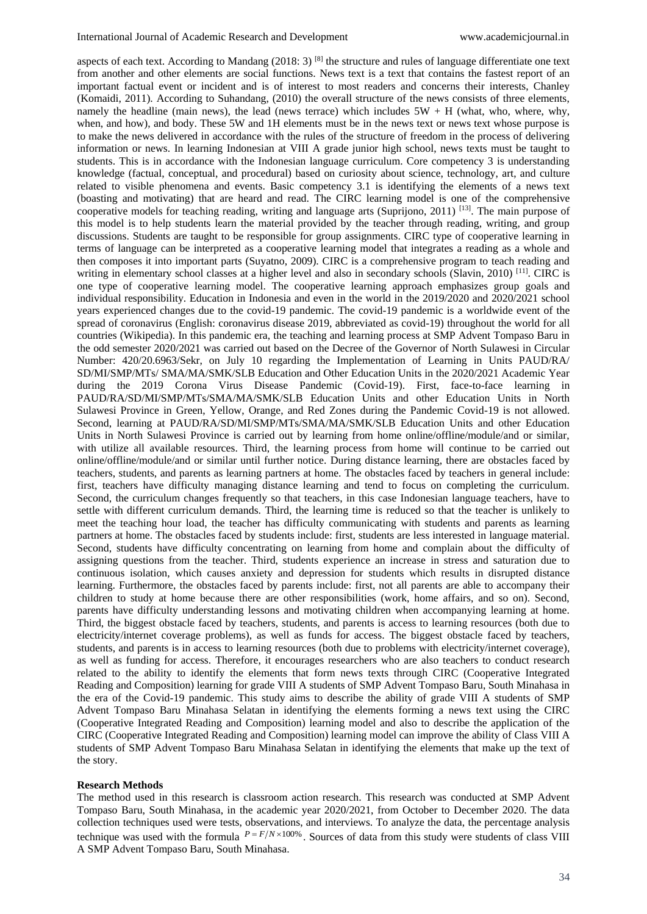aspects of each text. According to Mandang (2018: 3) <sup>[8]</sup> the structure and rules of language differentiate one text from another and other elements are social functions. News text is a text that contains the fastest report of an important factual event or incident and is of interest to most readers and concerns their interests, Chanley (Komaidi, 2011). According to Suhandang, (2010) the overall structure of the news consists of three elements, namely the headline (main news), the lead (news terrace) which includes  $5W + H$  (what, who, where, why, when, and how), and body. These 5W and 1H elements must be in the news text or news text whose purpose is to make the news delivered in accordance with the rules of the structure of freedom in the process of delivering information or news. In learning Indonesian at VIII A grade junior high school, news texts must be taught to students. This is in accordance with the Indonesian language curriculum. Core competency 3 is understanding knowledge (factual, conceptual, and procedural) based on curiosity about science, technology, art, and culture related to visible phenomena and events. Basic competency 3.1 is identifying the elements of a news text (boasting and motivating) that are heard and read. The CIRC learning model is one of the comprehensive cooperative models for teaching reading, writing and language arts (Suprijono, 2011) [13]. The main purpose of this model is to help students learn the material provided by the teacher through reading, writing, and group discussions. Students are taught to be responsible for group assignments. CIRC type of cooperative learning in terms of language can be interpreted as a cooperative learning model that integrates a reading as a whole and then composes it into important parts (Suyatno, 2009). CIRC is a comprehensive program to teach reading and writing in elementary school classes at a higher level and also in secondary schools (Slavin, 2010) <sup>[11]</sup>. CIRC is one type of cooperative learning model. The cooperative learning approach emphasizes group goals and individual responsibility. Education in Indonesia and even in the world in the 2019/2020 and 2020/2021 school years experienced changes due to the covid-19 pandemic. The covid-19 pandemic is a worldwide event of the spread of coronavirus (English: coronavirus disease 2019, abbreviated as covid-19) throughout the world for all countries (Wikipedia). In this pandemic era, the teaching and learning process at SMP Advent Tompaso Baru in the odd semester 2020/2021 was carried out based on the Decree of the Governor of North Sulawesi in Circular Number: 420/20.6963/Sekr, on July 10 regarding the Implementation of Learning in Units PAUD/RA/ SD/MI/SMP/MTs/ SMA/MA/SMK/SLB Education and Other Education Units in the 2020/2021 Academic Year during the 2019 Corona Virus Disease Pandemic (Covid-19). First, face-to-face learning in PAUD/RA/SD/MI/SMP/MTs/SMA/MA/SMK/SLB Education Units and other Education Units in North Sulawesi Province in Green, Yellow, Orange, and Red Zones during the Pandemic Covid-19 is not allowed. Second, learning at PAUD/RA/SD/MI/SMP/MTs/SMA/MA/SMK/SLB Education Units and other Education Units in North Sulawesi Province is carried out by learning from home online/offline/module/and or similar, with utilize all available resources. Third, the learning process from home will continue to be carried out online/offline/module/and or similar until further notice. During distance learning, there are obstacles faced by teachers, students, and parents as learning partners at home. The obstacles faced by teachers in general include: first, teachers have difficulty managing distance learning and tend to focus on completing the curriculum. Second, the curriculum changes frequently so that teachers, in this case Indonesian language teachers, have to settle with different curriculum demands. Third, the learning time is reduced so that the teacher is unlikely to meet the teaching hour load, the teacher has difficulty communicating with students and parents as learning partners at home. The obstacles faced by students include: first, students are less interested in language material. Second, students have difficulty concentrating on learning from home and complain about the difficulty of assigning questions from the teacher. Third, students experience an increase in stress and saturation due to continuous isolation, which causes anxiety and depression for students which results in disrupted distance learning. Furthermore, the obstacles faced by parents include: first, not all parents are able to accompany their children to study at home because there are other responsibilities (work, home affairs, and so on). Second, parents have difficulty understanding lessons and motivating children when accompanying learning at home. Third, the biggest obstacle faced by teachers, students, and parents is access to learning resources (both due to electricity/internet coverage problems), as well as funds for access. The biggest obstacle faced by teachers, students, and parents is in access to learning resources (both due to problems with electricity/internet coverage), as well as funding for access. Therefore, it encourages researchers who are also teachers to conduct research related to the ability to identify the elements that form news texts through CIRC (Cooperative Integrated Reading and Composition) learning for grade VIII A students of SMP Advent Tompaso Baru, South Minahasa in the era of the Covid-19 pandemic. This study aims to describe the ability of grade VIII A students of SMP Advent Tompaso Baru Minahasa Selatan in identifying the elements forming a news text using the CIRC (Cooperative Integrated Reading and Composition) learning model and also to describe the application of the CIRC (Cooperative Integrated Reading and Composition) learning model can improve the ability of Class VIII A students of SMP Advent Tompaso Baru Minahasa Selatan in identifying the elements that make up the text of the story.

### **Research Methods**

The method used in this research is classroom action research. This research was conducted at SMP Advent Tompaso Baru, South Minahasa, in the academic year 2020/2021, from October to December 2020. The data collection techniques used were tests, observations, and interviews. To analyze the data, the percentage analysis technique was used with the formula  $P = F/N \times 100\%$ . Sources of data from this study were students of class VIII A SMP Advent Tompaso Baru, South Minahasa.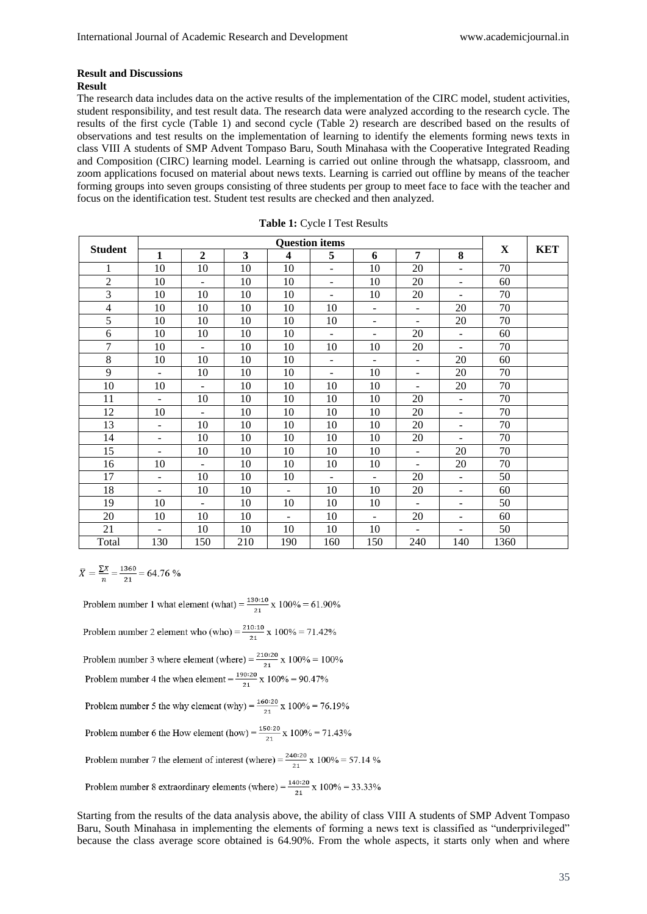# **Result and Discussions**

### **Result**

The research data includes data on the active results of the implementation of the CIRC model, student activities, student responsibility, and test result data. The research data were analyzed according to the research cycle. The results of the first cycle (Table 1) and second cycle (Table 2) research are described based on the results of observations and test results on the implementation of learning to identify the elements forming news texts in class VIII A students of SMP Advent Tompaso Baru, South Minahasa with the Cooperative Integrated Reading and Composition (CIRC) learning model. Learning is carried out online through the whatsapp, classroom, and zoom applications focused on material about news texts. Learning is carried out offline by means of the teacher forming groups into seven groups consisting of three students per group to meet face to face with the teacher and focus on the identification test. Student test results are checked and then analyzed.

| <b>Student</b> | <b>Question items</b>    |                          |     |                          |                          |                          |                          |                          |      |            |
|----------------|--------------------------|--------------------------|-----|--------------------------|--------------------------|--------------------------|--------------------------|--------------------------|------|------------|
|                | $\mathbf{1}$             | $\overline{2}$           | 3   | $\overline{\mathbf{4}}$  | 5                        | 6                        | 7                        | 8                        | X    | <b>KET</b> |
| $\mathbf{1}$   | 10                       | 10                       | 10  | 10                       | $\overline{\phantom{a}}$ | 10                       | 20                       | $\frac{1}{2}$            | 70   |            |
| $\sqrt{2}$     | 10                       | $\overline{\phantom{a}}$ | 10  | 10                       | $\overline{\phantom{a}}$ | 10                       | 20                       | $\overline{\phantom{a}}$ | 60   |            |
| 3              | 10                       | 10                       | 10  | 10                       | $\overline{\phantom{0}}$ | 10                       | 20                       | $\overline{a}$           | 70   |            |
| $\overline{4}$ | 10                       | 10                       | 10  | 10                       | 10                       | $\overline{\phantom{a}}$ | $\overline{\phantom{0}}$ | 20                       | 70   |            |
| 5              | 10                       | 10                       | 10  | 10                       | 10                       | $\overline{\phantom{a}}$ | $\blacksquare$           | 20                       | 70   |            |
| 6              | 10                       | 10                       | 10  | 10                       | $\overline{\phantom{a}}$ | $\overline{\phantom{a}}$ | 20                       | $\Box$                   | 60   |            |
| $\overline{7}$ | 10                       | $\blacksquare$           | 10  | 10                       | 10                       | 10                       | 20                       | $\blacksquare$           | 70   |            |
| 8              | 10                       | 10                       | 10  | 10                       | $\overline{\phantom{a}}$ | $\overline{\phantom{a}}$ | $\blacksquare$           | 20                       | 60   |            |
| 9              | $\equiv$                 | 10                       | 10  | 10                       | $\blacksquare$           | 10                       | $\blacksquare$           | 20                       | 70   |            |
| 10             | 10                       | $\blacksquare$           | 10  | 10                       | 10                       | 10                       | $\overline{\phantom{0}}$ | 20                       | 70   |            |
| 11             | ÷,                       | 10                       | 10  | 10                       | 10                       | 10                       | 20                       | $\frac{1}{2}$            | 70   |            |
| 12             | 10                       | $\overline{a}$           | 10  | 10                       | 10                       | 10                       | 20                       | $\overline{a}$           | 70   |            |
| 13             | $\equiv$                 | 10                       | 10  | 10                       | 10                       | 10                       | 20                       | $\frac{1}{2}$            | 70   |            |
| 14             | $\overline{a}$           | 10                       | 10  | 10                       | 10                       | 10                       | 20                       | $\overline{a}$           | 70   |            |
| 15             | $\sim$                   | 10                       | 10  | 10                       | 10                       | 10                       | $\blacksquare$           | 20                       | 70   |            |
| 16             | 10                       | $\blacksquare$           | 10  | 10                       | 10                       | 10                       | $\blacksquare$           | 20                       | 70   |            |
| 17             | $\overline{\phantom{a}}$ | 10                       | 10  | 10                       | $\overline{\phantom{a}}$ | $\overline{\phantom{a}}$ | 20                       | $\frac{1}{2}$            | 50   |            |
| 18             | $\blacksquare$           | 10                       | 10  | $\overline{\phantom{0}}$ | 10                       | 10                       | 20                       | $\overline{\phantom{a}}$ | 60   |            |
| 19             | 10                       | $\blacksquare$           | 10  | 10                       | 10                       | 10                       | $\blacksquare$           | $\overline{\phantom{a}}$ | 50   |            |
| 20             | 10                       | 10                       | 10  | $\blacksquare$           | 10                       | $\equiv$                 | 20                       | $\overline{\phantom{a}}$ | 60   |            |
| 21             | $\overline{a}$           | 10                       | 10  | 10                       | 10                       | 10                       | $\omega$                 | $\overline{\phantom{a}}$ | 50   |            |
| Total          | 130                      | 150                      | 210 | 190                      | 160                      | 150                      | 240                      | 140                      | 1360 |            |

|  | Table 1: Cycle I Test Results |  |  |
|--|-------------------------------|--|--|
|  |                               |  |  |

 $\overline{X} = \frac{\sum X}{n} = \frac{1360}{21} = 64.76\%$ 

Problem number 1 what element (what) =  $\frac{130:10}{21}$  x 100% = 61.90% Problem number 2 element who (who) =  $\frac{210:10}{21}$  x 100% = 71.42% Problem number 3 where element (where) =  $\frac{210:20}{21}$  x 100% = 100% Problem number 4 the when element =  $\frac{190:20}{21}$  x 100% = 90.47% Problem number 5 the why element (why) =  $\frac{160:20}{21}$  x 100% = 76.19% Problem number 6 the How element (how) =  $\frac{150:20}{21}$  x 100% = 71.43% Problem number 7 the element of interest (where) =  $\frac{240:20}{21}$  x 100% = 57.14 % Problem number 8 extraordinary elements (where) =  $\frac{140:20}{21}$  x 100% = 33.33%

Starting from the results of the data analysis above, the ability of class VIII A students of SMP Advent Tompaso Baru, South Minahasa in implementing the elements of forming a news text is classified as "underprivileged" because the class average score obtained is 64.90%. From the whole aspects, it starts only when and where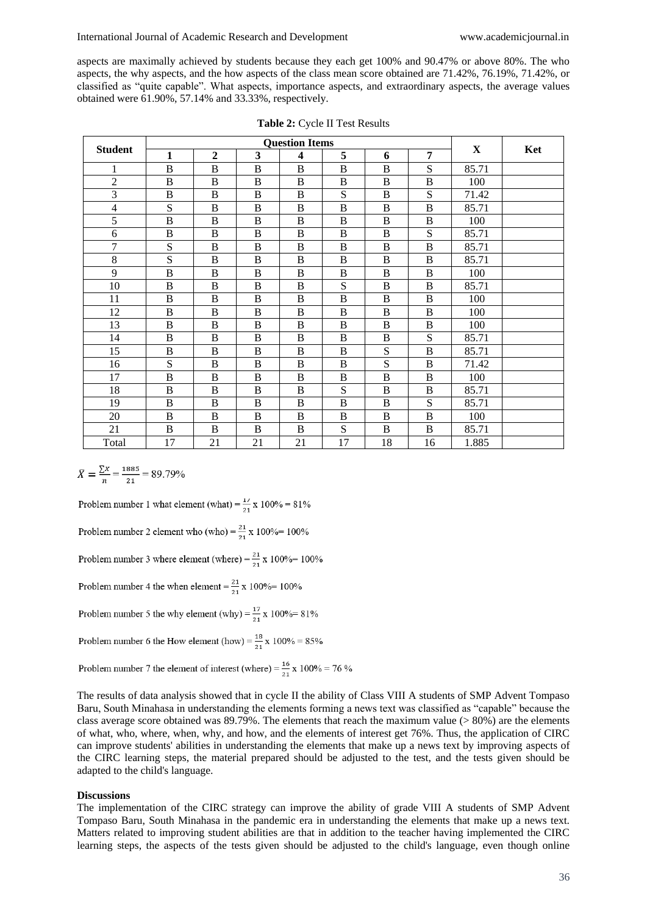aspects are maximally achieved by students because they each get 100% and 90.47% or above 80%. The who aspects, the why aspects, and the how aspects of the class mean score obtained are 71.42%, 76.19%, 71.42%, or classified as "quite capable". What aspects, importance aspects, and extraordinary aspects, the average values obtained were 61.90%, 57.14% and 33.33%, respectively.

| <b>Student</b> | <b>Question Items</b> |              |              |                         |          |                |              |       |     |
|----------------|-----------------------|--------------|--------------|-------------------------|----------|----------------|--------------|-------|-----|
|                | 1                     | $\mathbf{2}$ | 3            | $\overline{\mathbf{4}}$ | 5        | 6              | 7            | X     | Ket |
| 1              | $\bf{B}$              | $\bf{B}$     | $\, {\bf B}$ | B                       | B        | $\mathbf B$    | S            | 85.71 |     |
| $\overline{2}$ | B                     | B            | B            | B                       | B        | B              | B            | 100   |     |
| 3              | B                     | B            | B            | B                       | S        | B              | S            | 71.42 |     |
| $\overline{4}$ | S                     | B            | B            | B                       | B        | B              | B            | 85.71 |     |
| 5              | $\bf{B}$              | B            | B            | B                       | B        | B              | B            | 100   |     |
| 6              | $\, {\bf B}$          | $\bf{B}$     | $\, {\bf B}$ | B                       | B        | $\bf{B}$       | S            | 85.71 |     |
| $\overline{7}$ | S                     | B            | B            | B                       | B        | B              | B            | 85.71 |     |
| 8              | S                     | $\bf{B}$     | $\, {\bf B}$ | $\bf{B}$                | $\bf{B}$ | $\bf{B}$       | $\, {\bf B}$ | 85.71 |     |
| 9              | B                     | B            | B            | B                       | B        | B              | B            | 100   |     |
| 10             | B                     | B            | B            | B                       | S        | B              | B            | 85.71 |     |
| 11             | B                     | $\bf{B}$     | B            | B                       | B        | $\bf{B}$       | B            | 100   |     |
| 12             | $\overline{B}$        | B            | B            | B                       | B        | $\overline{B}$ | B            | 100   |     |
| 13             | $\, {\bf B}$          | B            | $\, {\bf B}$ | B                       | B        | $\bf{B}$       | B            | 100   |     |
| 14             | B                     | B            | B            | B                       | B        | $\mathbf B$    | S            | 85.71 |     |
| 15             | $\bf{B}$              | B            | B            | B                       | B        | ${\bf S}$      | B            | 85.71 |     |
| 16             | S                     | B            | B            | B                       | B        | S              | B            | 71.42 |     |
| 17             | $\bf{B}$              | B            | B            | B                       | B        | B              | B            | 100   |     |
| 18             | $\bf{B}$              | B            | B            | B                       | S        | B              | $\, {\bf B}$ | 85.71 |     |
| 19             | $\, {\bf B}$          | $\bf{B}$     | $\, {\bf B}$ | $\bf{B}$                | $\bf{B}$ | $\bf{B}$       | ${\bf S}$    | 85.71 |     |
| 20             | B                     | B            | B            | B                       | B        | $\bf{B}$       | B            | 100   |     |
| 21             | B                     | B            | B            | B                       | S        | B              | B            | 85.71 |     |
| Total          | 17                    | 21           | 21           | 21                      | 17       | 18             | 16           | 1.885 |     |

$$
\bar{X} = \frac{\Sigma x}{n} = \frac{1885}{21} = 89.79\%
$$

Problem number 1 what element (what) =  $\frac{17}{21}$  x 100% = 81%

Problem number 2 element who (who) =  $\frac{21}{21}$  x 100% = 100%

Problem number 3 where element (where) =  $\frac{21}{21}$  x 100% = 100%

Problem number 4 the when element =  $\frac{21}{21}$  x 100% = 100%

Problem number 5 the why element (why) =  $\frac{17}{21}$  x 100% = 81%

Problem number 6 the How element (how) =  $\frac{18}{21}$  x 100% = 85%

Problem number 7 the element of interest (where) =  $\frac{16}{21}$  x 100% = 76 %

The results of data analysis showed that in cycle II the ability of Class VIII A students of SMP Advent Tompaso Baru, South Minahasa in understanding the elements forming a news text was classified as "capable" because the class average score obtained was 89.79%. The elements that reach the maximum value  $(> 80\%)$  are the elements of what, who, where, when, why, and how, and the elements of interest get 76%. Thus, the application of CIRC can improve students' abilities in understanding the elements that make up a news text by improving aspects of the CIRC learning steps, the material prepared should be adjusted to the test, and the tests given should be adapted to the child's language.

### **Discussions**

The implementation of the CIRC strategy can improve the ability of grade VIII A students of SMP Advent Tompaso Baru, South Minahasa in the pandemic era in understanding the elements that make up a news text. Matters related to improving student abilities are that in addition to the teacher having implemented the CIRC learning steps, the aspects of the tests given should be adjusted to the child's language, even though online